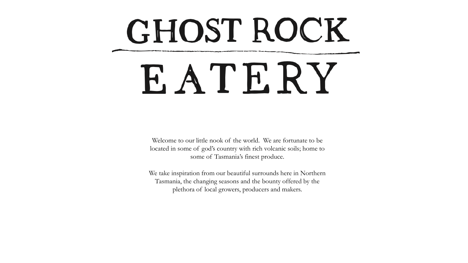# GHOST ROCK EATERY

Welcome to our little nook of the world. We are fortunate to be located in some of god's country with rich volcanic soils; home to some of Tasmania's finest produce.

We take inspiration from our beautiful surrounds here in Northern Tasmania, the changing seasons and the bounty offered by the plethora of local growers, producers and makers.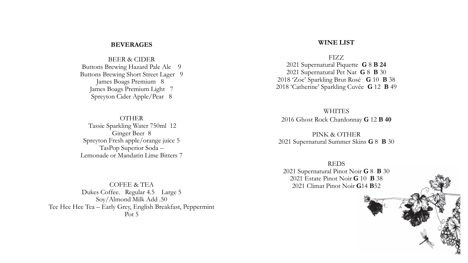#### **BEVERAGES**

BEER & CIDER Buttons Brewing Hazard Pale Ale 9 Buttons Brewing Short Street Lager 9 James Boags Premium 8 James Boags Premium Light 7 Spreyton Cider Apple/Pear 8

OTHER Tassie Sparkling Water 750ml 12 Ginger Beer 8 Spreyton Fresh apple/orange juice 5 TasPop Superior Soda – Lemonade or Mandarin Lime Bitters 7

COFEE & TEA Dukes Coffee. Regular 4.5 Large 5 Soy/Almond Milk Add .50 Tee Hee Hee Tea – Early Grey, English Breakfast, Peppermint Pot 5

#### **WINE LIST**

FIZZ 2021 Supernatural Piquette **G** 8 **B 24** 2021 Supernatural Pet Nat **G** 8 **B** 30 2018 'Zoe' Sparkling Brut Rosé **G** 10 **B** 38 2018 'Catherine' Sparkling Cuvée **G** 12 **B** 49

**WHITES** 2016 Ghost Rock Chardonnay **G** 12 **B 40**

PINK & OTHER 2021 Supernatural Summer Skins **G** 8 **B** 30

REDS 2021 Supernatural Pinot Noir **G** 8 **B** 30 2021 Estate Pinot Noir **G** 10 **B** 38 2021 Climat Pinot Noir **G**14 **B**52

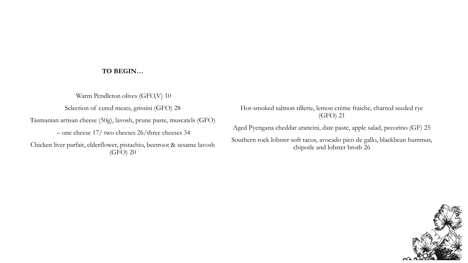# **TO BEGIN…**

Warm Pendleton olives (GFO,V) 10 Selection of cured meats, grissini (GFO) 28 Tasmanian artisan cheese (50g), lavosh, prune paste, muscatels (GFO) – one cheese 17/ two cheeses 26/three cheeses 34 Chicken liver parfait, elderflower, pistachio, beetroot & sesame lavosh (GFO) 20

Hot-smoked salmon rillette, lemon crème fraiche, charred seeded rye (GFO) 21

Aged Pyengana cheddar arancini, date paste, apple salad, pecorino (GF) 25

Southern rock lobster soft tacos, avocado pico de gallo, blackbean hummus, chipotle and lobster broth 26

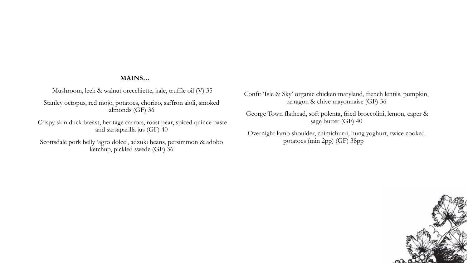## **MAINS…**

Mushroom, leek & walnut orecchiette, kale, truffle oil (V) 35

Stanley octopus, red mojo, potatoes, chorizo, saffron aioli, smoked almonds (GF) 36

Crispy skin duck breast, heritage carrots, roast pear, spiced quince paste and sarsaparilla jus (GF) 40

Scottsdale pork belly 'agro dolce', adzuki beans, persimmon & adobo ketchup, pickled swede (GF) 36

Confit 'Isle & Sky' organic chicken maryland, french lentils, pumpkin, tarragon & chive mayonnaise (GF) 36

George Town flathead, soft polenta, fried broccolini, lemon, caper & sage butter (GF) 40

Overnight lamb shoulder, chimichurri, hung yoghurt, twice cooked potatoes (min 2pp) (GF) 38pp